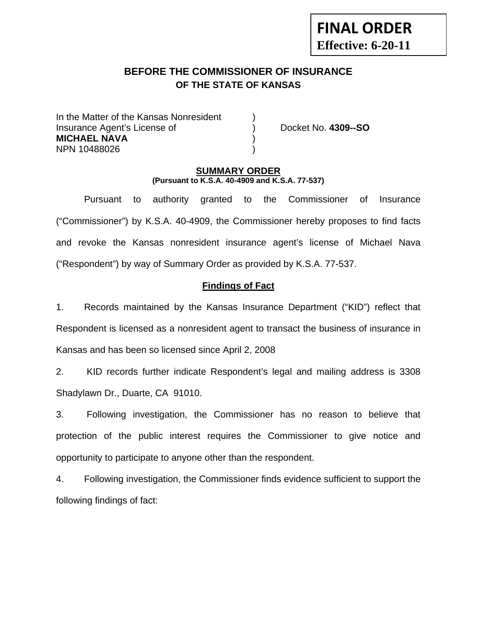# **BEFORE THE COMMISSIONER OF INSURANCE OF THE STATE OF KANSAS**

In the Matter of the Kansas Nonresident Insurance Agent's License of ) Docket No. **4309--SO MICHAEL NAVA** ) NPN 10488026 )

**FINAL ORDER**

**Effective: 6-20-11** 

### **SUMMARY ORDER (Pursuant to K.S.A. 40-4909 and K.S.A. 77-537)**

 Pursuant to authority granted to the Commissioner of Insurance ("Commissioner") by K.S.A. 40-4909, the Commissioner hereby proposes to find facts and revoke the Kansas nonresident insurance agent's license of Michael Nava ("Respondent") by way of Summary Order as provided by K.S.A. 77-537.

# **Findings of Fact**

1. Records maintained by the Kansas Insurance Department ("KID") reflect that Respondent is licensed as a nonresident agent to transact the business of insurance in Kansas and has been so licensed since April 2, 2008

2. KID records further indicate Respondent's legal and mailing address is 3308 Shadylawn Dr., Duarte, CA 91010.

3. Following investigation, the Commissioner has no reason to believe that protection of the public interest requires the Commissioner to give notice and opportunity to participate to anyone other than the respondent.

4. Following investigation, the Commissioner finds evidence sufficient to support the following findings of fact: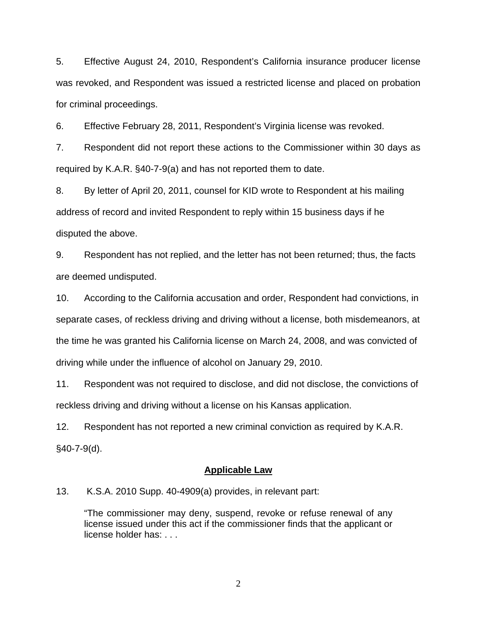5. Effective August 24, 2010, Respondent's California insurance producer license was revoked, and Respondent was issued a restricted license and placed on probation for criminal proceedings.

6. Effective February 28, 2011, Respondent's Virginia license was revoked.

7. Respondent did not report these actions to the Commissioner within 30 days as required by K.A.R. §40-7-9(a) and has not reported them to date.

8. By letter of April 20, 2011, counsel for KID wrote to Respondent at his mailing address of record and invited Respondent to reply within 15 business days if he disputed the above.

9. Respondent has not replied, and the letter has not been returned; thus, the facts are deemed undisputed.

10. According to the California accusation and order, Respondent had convictions, in separate cases, of reckless driving and driving without a license, both misdemeanors, at the time he was granted his California license on March 24, 2008, and was convicted of driving while under the influence of alcohol on January 29, 2010.

11. Respondent was not required to disclose, and did not disclose, the convictions of reckless driving and driving without a license on his Kansas application.

12. Respondent has not reported a new criminal conviction as required by K.A.R. §40-7-9(d).

#### **Applicable Law**

13. K.S.A. 2010 Supp. 40-4909(a) provides, in relevant part:

"The commissioner may deny, suspend, revoke or refuse renewal of any license issued under this act if the commissioner finds that the applicant or license holder has: . . .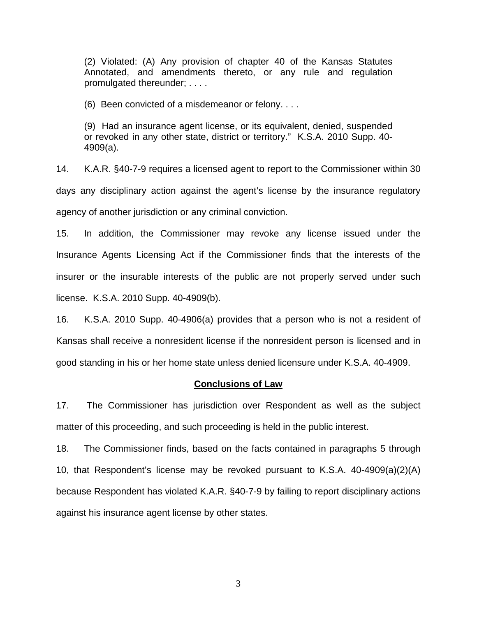(2) Violated: (A) Any provision of chapter 40 of the Kansas Statutes Annotated, and amendments thereto, or any rule and regulation promulgated thereunder; . . . .

(6) Been convicted of a misdemeanor or felony. . . .

(9) Had an insurance agent license, or its equivalent, denied, suspended or revoked in any other state, district or territory." K.S.A. 2010 Supp. 40- 4909(a).

14. K.A.R. §40-7-9 requires a licensed agent to report to the Commissioner within 30 days any disciplinary action against the agent's license by the insurance regulatory agency of another jurisdiction or any criminal conviction.

15. In addition, the Commissioner may revoke any license issued under the Insurance Agents Licensing Act if the Commissioner finds that the interests of the insurer or the insurable interests of the public are not properly served under such license. K.S.A. 2010 Supp. 40-4909(b).

16. K.S.A. 2010 Supp. 40-4906(a) provides that a person who is not a resident of Kansas shall receive a nonresident license if the nonresident person is licensed and in good standing in his or her home state unless denied licensure under K.S.A. 40-4909.

#### **Conclusions of Law**

17. The Commissioner has jurisdiction over Respondent as well as the subject matter of this proceeding, and such proceeding is held in the public interest.

18. The Commissioner finds, based on the facts contained in paragraphs 5 through 10, that Respondent's license may be revoked pursuant to K.S.A. 40-4909(a)(2)(A) because Respondent has violated K.A.R. §40-7-9 by failing to report disciplinary actions against his insurance agent license by other states.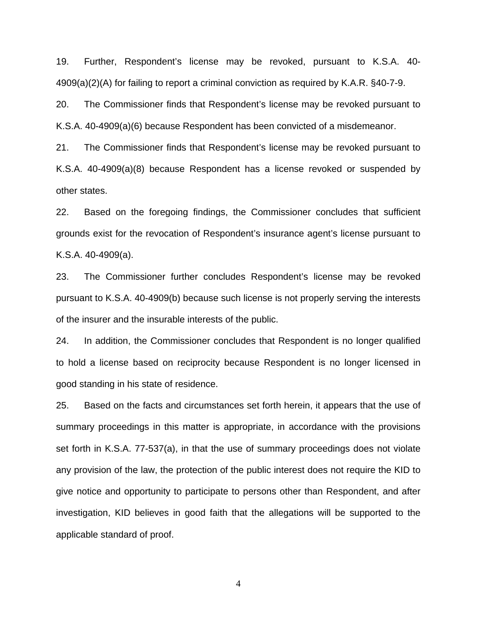19. Further, Respondent's license may be revoked, pursuant to K.S.A. 40- 4909(a)(2)(A) for failing to report a criminal conviction as required by K.A.R. §40-7-9.

20. The Commissioner finds that Respondent's license may be revoked pursuant to K.S.A. 40-4909(a)(6) because Respondent has been convicted of a misdemeanor.

21. The Commissioner finds that Respondent's license may be revoked pursuant to K.S.A. 40-4909(a)(8) because Respondent has a license revoked or suspended by other states.

22. Based on the foregoing findings, the Commissioner concludes that sufficient grounds exist for the revocation of Respondent's insurance agent's license pursuant to K.S.A. 40-4909(a).

23. The Commissioner further concludes Respondent's license may be revoked pursuant to K.S.A. 40-4909(b) because such license is not properly serving the interests of the insurer and the insurable interests of the public.

24. In addition, the Commissioner concludes that Respondent is no longer qualified to hold a license based on reciprocity because Respondent is no longer licensed in good standing in his state of residence.

25. Based on the facts and circumstances set forth herein, it appears that the use of summary proceedings in this matter is appropriate, in accordance with the provisions set forth in K.S.A. 77-537(a), in that the use of summary proceedings does not violate any provision of the law, the protection of the public interest does not require the KID to give notice and opportunity to participate to persons other than Respondent, and after investigation, KID believes in good faith that the allegations will be supported to the applicable standard of proof.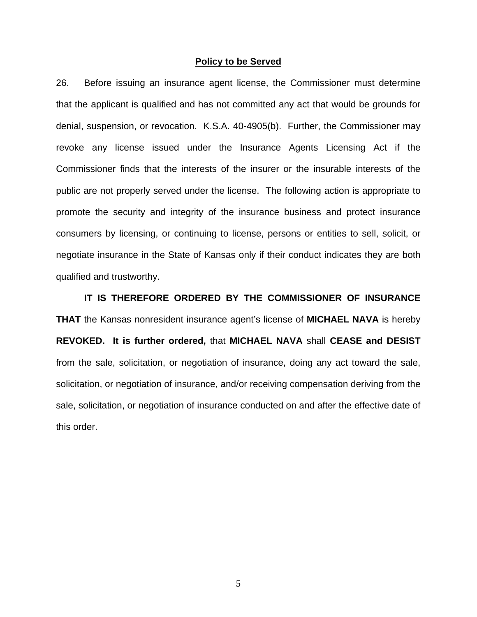#### **Policy to be Served**

26. Before issuing an insurance agent license, the Commissioner must determine that the applicant is qualified and has not committed any act that would be grounds for denial, suspension, or revocation. K.S.A. 40-4905(b). Further, the Commissioner may revoke any license issued under the Insurance Agents Licensing Act if the Commissioner finds that the interests of the insurer or the insurable interests of the public are not properly served under the license. The following action is appropriate to promote the security and integrity of the insurance business and protect insurance consumers by licensing, or continuing to license, persons or entities to sell, solicit, or negotiate insurance in the State of Kansas only if their conduct indicates they are both qualified and trustworthy.

 **IT IS THEREFORE ORDERED BY THE COMMISSIONER OF INSURANCE THAT** the Kansas nonresident insurance agent's license of **MICHAEL NAVA** is hereby **REVOKED. It is further ordered,** that **MICHAEL NAVA** shall **CEASE and DESIST** from the sale, solicitation, or negotiation of insurance, doing any act toward the sale, solicitation, or negotiation of insurance, and/or receiving compensation deriving from the sale, solicitation, or negotiation of insurance conducted on and after the effective date of this order.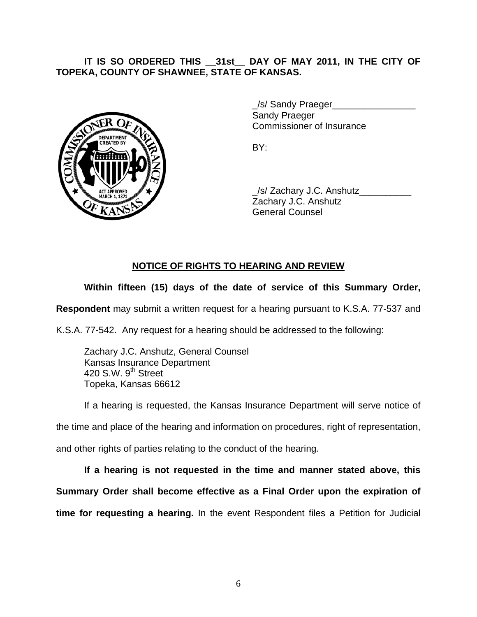# **IT IS SO ORDERED THIS \_\_31st\_\_ DAY OF MAY 2011, IN THE CITY OF TOPEKA, COUNTY OF SHAWNEE, STATE OF KANSAS.**



/s/ Sandy Praeger Sandy Praeger Commissioner of Insurance

 \_/s/ Zachary J.C. Anshutz\_\_\_\_\_\_\_\_\_\_ Zachary J.C. Anshutz General Counsel

# **NOTICE OF RIGHTS TO HEARING AND REVIEW**

# **Within fifteen (15) days of the date of service of this Summary Order,**

**Respondent** may submit a written request for a hearing pursuant to K.S.A. 77-537 and

K.S.A. 77-542. Any request for a hearing should be addressed to the following:

 Zachary J.C. Anshutz, General Counsel Kansas Insurance Department 420 S.W.  $9<sup>th</sup>$  Street Topeka, Kansas 66612

If a hearing is requested, the Kansas Insurance Department will serve notice of

the time and place of the hearing and information on procedures, right of representation,

and other rights of parties relating to the conduct of the hearing.

**If a hearing is not requested in the time and manner stated above, this Summary Order shall become effective as a Final Order upon the expiration of time for requesting a hearing.** In the event Respondent files a Petition for Judicial